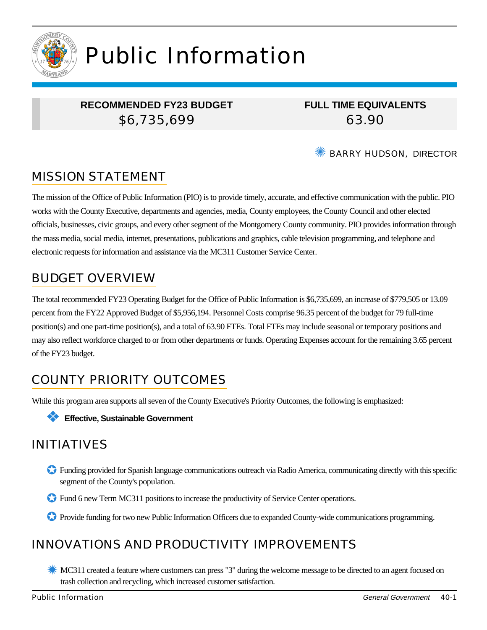

# Public Information

## **RECOMMENDED FY23 BUDGET** \$6,735,699

**FULL TIME EQUIVALENTS** 63.90

BARRY HUDSON, DIRECTOR

# MISSION STATEMENT

The mission of the Office of Public Information (PIO) is to provide timely, accurate, and effective communication with the public. PIO works with the County Executive, departments and agencies, media, County employees, the County Council and other elected officials, businesses, civic groups, and every other segment of the Montgomery County community. PIO provides information through the mass media, social media, internet, presentations, publications and graphics, cable television programming, and telephone and electronic requests for information and assistance via the MC311 Customer Service Center.

# BUDGET OVERVIEW

The total recommended FY23 Operating Budget for the Office of Public Information is \$6,735,699, an increase of \$779,505 or 13.09 percent from the FY22 Approved Budget of \$5,956,194. Personnel Costs comprise 96.35 percent of the budget for 79 full-time position(s) and one part-time position(s), and a total of 63.90 FTEs. Total FTEs may include seasonal or temporary positions and may also reflect workforce charged to or from other departments or funds. Operating Expenses account for the remaining 3.65 percent of the FY23 budget.

# COUNTY PRIORITY OUTCOMES

While this program area supports all seven of the County Executive's Priority Outcomes, the following is emphasized:



# INITIATIVES

- ✪ Funding provided for Spanish language communications outreach via Radio America, communicating directly with this specific segment of the County's population.
- ✪ Fund 6 new Term MC311 positions to increase the productivity of Service Center operations.
- ✪ Provide funding for two new Public Information Officers due to expanded County-wide communications programming.

## INNOVATIONS AND PRODUCTIVITY IMPROVEMENTS

**K** MC311 created a feature where customers can press "3" during the welcome message to be directed to an agent focused on trash collection and recycling, which increased customer satisfaction.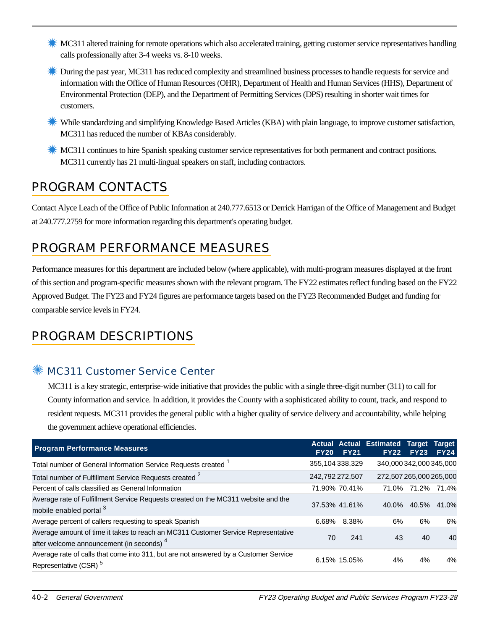- **K** MC311 altered training for remote operations which also accelerated training, getting customer service representatives handling calls professionally after 3-4 weeks vs. 8-10 weeks.
- **Example 1** During the past year, MC311 has reduced complexity and streamlined business processes to handle requests for service and information with the Office of Human Resources (OHR), Department of Health and Human Services (HHS), Department of Environmental Protection (DEP), and the Department of Permitting Services (DPS) resulting in shorter wait times for customers.
- ✹ While standardizing and simplifying Knowledge Based Articles (KBA) with plain language, to improve customer satisfaction, MC311 has reduced the number of KBAs considerably.
- ✹ MC311 continues to hire Spanish speaking customer service representatives for both permanent and contract positions. MC311 currently has 21 multi-lingual speakers on staff, including contractors.

# PROGRAM CONTACTS

Contact Alyce Leach of the Office of Public Information at 240.777.6513 or Derrick Harrigan of the Office of Management and Budget at 240.777.2759 for more information regarding this department's operating budget.

# PROGRAM PERFORMANCE MEASURES

Performance measures for this department are included below (where applicable), with multi-program measures displayed at the front of this section and program-specific measures shown with the relevant program. The FY22 estimates reflect funding based on the FY22 Approved Budget. The FY23 and FY24 figures are performance targets based on the FY23 Recommended Budget and funding for comparable service levels in FY24.

# PROGRAM DESCRIPTIONS

## ✺ MC311 Customer Service Center

MC311 is a key strategic, enterprise-wide initiative that provides the public with a single three-digit number (311) to call for County information and service. In addition, it provides the County with a sophisticated ability to count, track, and respond to resident requests. MC311 provides the general public with a higher quality of service delivery and accountability, while helping the government achieve operational efficiencies.

| <b>Program Performance Measures</b>                                                                                                       | <b>FY20</b>     | <b>FY21</b>     | <b>Actual Actual Estimated Target</b><br><b>FY22</b> | <b>FY23</b>       | <b>Target</b><br><b>FY24</b> |
|-------------------------------------------------------------------------------------------------------------------------------------------|-----------------|-----------------|------------------------------------------------------|-------------------|------------------------------|
| Total number of General Information Service Requests created <sup>1</sup>                                                                 |                 | 355,104 338,329 | 340,000 342,000 345,000                              |                   |                              |
| Total number of Fulfillment Service Requests created <sup>2</sup>                                                                         | 242,792 272,507 |                 | 272,507 265,000 265,000                              |                   |                              |
| Percent of calls classified as General Information                                                                                        |                 | 71.90% 70.41%   |                                                      | 71.0% 71.2% 71.4% |                              |
| Average rate of Fulfillment Service Requests created on the MC311 website and the<br>mobile enabled portal 3                              |                 | 37.53% 41.61%   |                                                      | 40.0% 40.5% 41.0% |                              |
| Average percent of callers requesting to speak Spanish                                                                                    | 6.68%           | 8.38%           | 6%                                                   | 6%                | 6%                           |
| Average amount of time it takes to reach an MC311 Customer Service Representative<br>after welcome announcement (in seconds) <sup>4</sup> | 70              | 241             | 43                                                   | 40                | 40                           |
| Average rate of calls that come into 311, but are not answered by a Customer Service<br>Representative (CSR) <sup>5</sup>                 |                 | 6.15% 15.05%    | 4%                                                   | 4%                | 4%                           |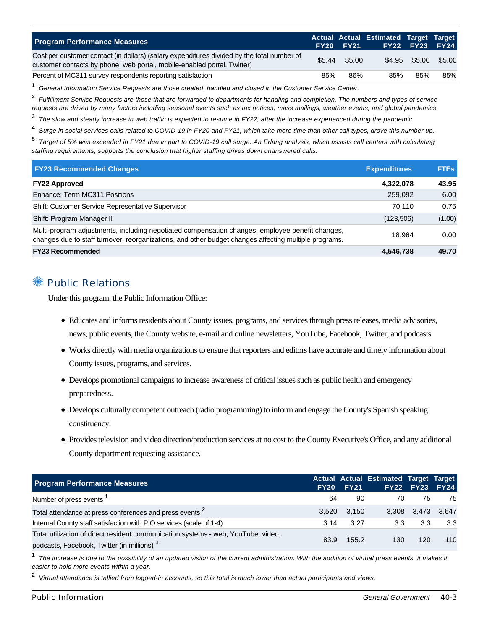| <b>Program Performance Measures</b>                                                                                                                                   |        | <b>FY20 FY21</b> | Actual Actual Estimated Target Target | <b>FY22 FY23 FY24</b> |        |
|-----------------------------------------------------------------------------------------------------------------------------------------------------------------------|--------|------------------|---------------------------------------|-----------------------|--------|
| Cost per customer contact (in dollars) (salary expenditures divided by the total number of<br>customer contacts by phone, web portal, mobile-enabled portal, Twitter) | \$5.44 | \$5.00           |                                       | \$4.95 \$5.00         | \$5.00 |
| Percent of MC311 survey respondents reporting satisfaction                                                                                                            | 85%    | 86%              | 85%                                   | 85%                   | 85%    |

**1** General Information Service Requests are those created, handled and closed in the Customer Service Center.

**2** Fulfillment Service Requests are those that are forwarded to departments for handling and completion. The numbers and types of service requests are driven by many factors including seasonal events such as tax notices, mass mailings, weather events, and global pandemics.

**3** The slow and steady increase in web traffic is expected to resume in FY22, after the increase experienced during the pandemic.

**4** Surge in social services calls related to COVID-19 in FY20 and FY21, which take more time than other call types, drove this number up.

**5** Target of 5% was exceeded in FY21 due in part to COVID-19 call surge. An Erlang analysis, which assists call centers with calculating staffing requirements, supports the conclusion that higher staffing drives down unanswered calls.

| <b>FY23 Recommended Changes</b>                                                                                                                                                                          | <b>Expenditures</b> | <b>FTEs</b> |
|----------------------------------------------------------------------------------------------------------------------------------------------------------------------------------------------------------|---------------------|-------------|
| <b>FY22 Approved</b>                                                                                                                                                                                     | 4,322,078           | 43.95       |
| Enhance: Term MC311 Positions                                                                                                                                                                            | 259,092             | 6.00        |
| Shift: Customer Service Representative Supervisor                                                                                                                                                        | 70.110              | 0.75        |
| Shift: Program Manager II                                                                                                                                                                                | (123,506)           | (1.00)      |
| Multi-program adjustments, including negotiated compensation changes, employee benefit changes,<br>changes due to staff turnover, reorganizations, and other budget changes affecting multiple programs. | 18.964              | 0.00        |
| <b>FY23 Recommended</b>                                                                                                                                                                                  | 4.546.738           | 49.70       |

#### **Public Relations**

Under this program, the Public Information Office:

- Educates and informs residents about County issues, programs, and services through press releases, media advisories, news, public events, the County website, e-mail and online newsletters, YouTube, Facebook, Twitter, and podcasts.
- Works directly with media organizations to ensure that reporters and editors have accurate and timely information about County issues, programs, and services.
- Develops promotional campaigns to increase awareness of critical issues such as public health and emergency preparedness.
- Develops culturally competent outreach (radio programming) to inform and engage the County's Spanish speaking constituency.
- Provides television and video direction/production services at no cost to the County Executive's Office, and any additional County department requesting assistance.

| <b>Program Performance Measures</b>                                                                                                         | FY20  | <b>FY21</b> | Actual Actual Estimated Target Target | FY22 FY23 FY24 |                   |
|---------------------------------------------------------------------------------------------------------------------------------------------|-------|-------------|---------------------------------------|----------------|-------------------|
| Number of press events <sup>1</sup>                                                                                                         | 64    | 90          | 70                                    | 75             | -75               |
| Total attendance at press conferences and press events <sup>2</sup>                                                                         | 3.520 | 3.150       |                                       |                | 3,308 3,473 3,647 |
| Internal County staff satisfaction with PIO services (scale of 1-4)                                                                         | 3.14  | 3.27        | 3.3                                   | 3.3            | 3.3               |
| Total utilization of direct resident communication systems - web, YouTube, video,<br>podcasts, Facebook, Twitter (in millions) <sup>3</sup> | 83.9  | 155.2       | 130                                   | 120            | 110               |

**1** The increase is due to the possibility of an updated vision of the current administration. With the addition of virtual press events, it makes it easier to hold more events within a year.

**2** Virtual attendance is tallied from logged-in accounts, so this total is much lower than actual participants and views.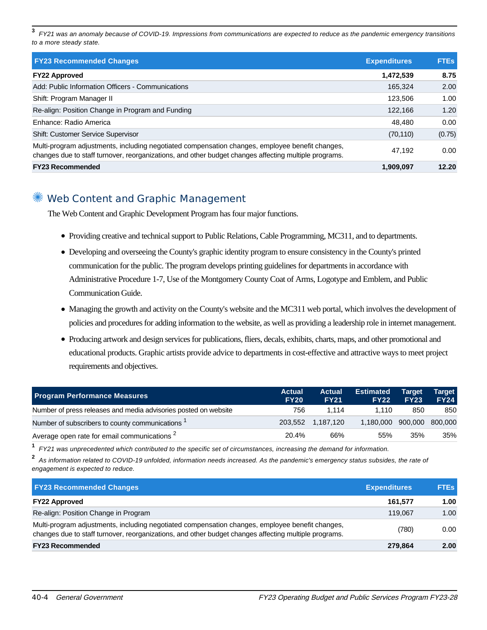**3** FY21 was an anomaly because of COVID-19. Impressions from communications are expected to reduce as the pandemic emergency transitions to a more steady state.

| <b>FY23 Recommended Changes</b>                                                                                                                                                                          | <b>Expenditures</b> | <b>FTEs</b> |
|----------------------------------------------------------------------------------------------------------------------------------------------------------------------------------------------------------|---------------------|-------------|
| <b>FY22 Approved</b>                                                                                                                                                                                     | 1,472,539           | 8.75        |
| Add: Public Information Officers - Communications                                                                                                                                                        | 165.324             | 2.00        |
| Shift: Program Manager II                                                                                                                                                                                | 123.506             | 1.00        |
| Re-align: Position Change in Program and Funding                                                                                                                                                         | 122.166             | 1.20        |
| Enhance: Radio America                                                                                                                                                                                   | 48.480              | 0.00        |
| <b>Shift: Customer Service Supervisor</b>                                                                                                                                                                | (70, 110)           | (0.75)      |
| Multi-program adjustments, including negotiated compensation changes, employee benefit changes,<br>changes due to staff turnover, reorganizations, and other budget changes affecting multiple programs. | 47.192              | 0.00        |
| <b>FY23 Recommended</b>                                                                                                                                                                                  | 1,909,097           | 12.20       |

## ✺ Web Content and Graphic Management

The Web Content and Graphic Development Program has four major functions.

- Providing creative and technical support to Public Relations, Cable Programming, MC311, and to departments.
- Developing and overseeing the County's graphic identity program to ensure consistency in the County's printed communication for the public. The program develops printing guidelines for departments in accordance with Administrative Procedure 1-7, Use of the Montgomery County Coat of Arms, Logotype and Emblem, and Public Communication Guide.
- Managing the growth and activity on the County's website and the MC311 web portal, which involves the development of policies and procedures for adding information to the website, as well as providing a leadership role in internet management.
- Producing artwork and design services for publications, fliers, decals, exhibits, charts, maps, and other promotional and educational products. Graphic artists provide advice to departments in cost-effective and attractive ways to meet project requirements and objectives.

| <b>Program Performance Measures</b>                             | <b>Actual</b><br><b>FY20</b> | <b>Actual</b><br><b>FY21</b> | <b>Estimated</b><br><b>FY22</b> | ∣Tarɑet <sup>∖</sup><br><b>FY23</b> | <b>Target</b><br><b>FY24</b> |
|-----------------------------------------------------------------|------------------------------|------------------------------|---------------------------------|-------------------------------------|------------------------------|
| Number of press releases and media advisories posted on website | 756                          | 1.114                        | 1.110                           | 850                                 | 850                          |
| Number of subscribers to county communications 1                |                              | 203.552 1.187.120            | 1,180,000 900,000 800,000       |                                     |                              |
| Average open rate for email communications <sup>2</sup>         | 20.4%                        | 66%                          | 55%                             | 35%                                 | 35%                          |

**1** FY21 was unprecedented which contributed to the specific set of circumstances, increasing the demand for information.

**2** As information related to COVID-19 unfolded, information needs increased. As the pandemic's emergency status subsides, the rate of engagement is expected to reduce.

| <b>FY23 Recommended Changes</b>                                                                                                                                                                          | <b>Expenditures</b> | <b>FTEs</b> |
|----------------------------------------------------------------------------------------------------------------------------------------------------------------------------------------------------------|---------------------|-------------|
| <b>FY22 Approved</b>                                                                                                                                                                                     | 161.577             | 1.00        |
| Re-align: Position Change in Program                                                                                                                                                                     | 119.067             | 1.00        |
| Multi-program adjustments, including negotiated compensation changes, employee benefit changes,<br>changes due to staff turnover, reorganizations, and other budget changes affecting multiple programs. | (780)               | 0.00        |
| <b>FY23 Recommended</b>                                                                                                                                                                                  | 279.864             | 2.00        |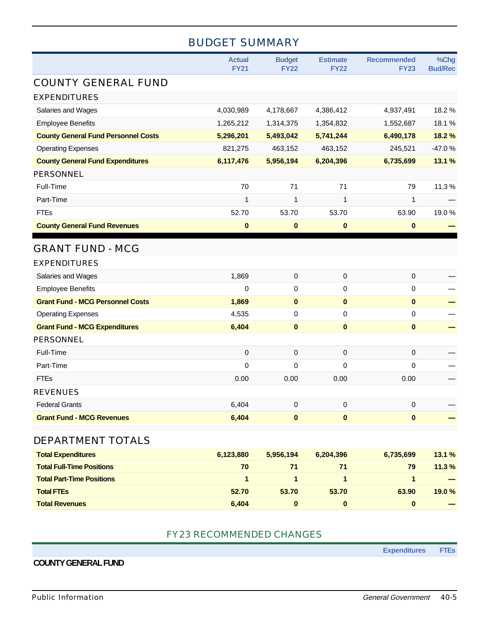## BUDGET SUMMARY

|                                            | <b>Actual</b><br><b>FY21</b> | <b>Budget</b><br><b>FY22</b> | <b>Estimate</b><br><b>FY22</b> | <b>Recommended</b><br><b>FY23</b> | %Chg<br><b>Bud/Rec</b> |
|--------------------------------------------|------------------------------|------------------------------|--------------------------------|-----------------------------------|------------------------|
| <b>COUNTY GENERAL FUND</b>                 |                              |                              |                                |                                   |                        |
| <b>EXPENDITURES</b>                        |                              |                              |                                |                                   |                        |
| Salaries and Wages                         | 4,030,989                    | 4,178,667                    | 4,386,412                      | 4,937,491                         | 18.2%                  |
| <b>Employee Benefits</b>                   | 1,265,212                    | 1,314,375                    | 1,354,832                      | 1,552,687                         | 18.1%                  |
| <b>County General Fund Personnel Costs</b> | 5,296,201                    | 5,493,042                    | 5,741,244                      | 6,490,178                         | 18.2 %                 |
| <b>Operating Expenses</b>                  | 821,275                      | 463,152                      | 463,152                        | 245,521                           | $-47.0%$               |
| <b>County General Fund Expenditures</b>    | 6,117,476                    | 5,956,194                    | 6,204,396                      | 6,735,699                         | 13.1 %                 |
| <b>PERSONNEL</b>                           |                              |                              |                                |                                   |                        |
| Full-Time                                  | 70                           | 71                           | 71                             | 79                                | 11.3%                  |
| Part-Time                                  | 1                            | 1                            | 1                              | 1                                 |                        |
| <b>FTEs</b>                                | 52.70                        | 53.70                        | 53.70                          | 63.90                             | 19.0%                  |
| <b>County General Fund Revenues</b>        | $\bf{0}$                     | $\bf{0}$                     | $\pmb{0}$                      | $\pmb{0}$                         |                        |
| <b>GRANT FUND - MCG</b>                    |                              |                              |                                |                                   |                        |
| <b>EXPENDITURES</b>                        |                              |                              |                                |                                   |                        |
| Salaries and Wages                         | 1,869                        | 0                            | $\mathbf 0$                    | 0                                 |                        |
| <b>Employee Benefits</b>                   | $\mathbf 0$                  | 0                            | $\pmb{0}$                      | 0                                 |                        |
| <b>Grant Fund - MCG Personnel Costs</b>    | 1,869                        | $\bf{0}$                     | $\pmb{0}$                      | $\mathbf 0$                       |                        |
| <b>Operating Expenses</b>                  | 4,535                        | 0                            | $\mathbf 0$                    | 0                                 |                        |
| <b>Grant Fund - MCG Expenditures</b>       | 6,404                        | $\pmb{0}$                    | $\pmb{0}$                      | $\pmb{0}$                         |                        |
| <b>PERSONNEL</b>                           |                              |                              |                                |                                   |                        |
| Full-Time                                  | 0                            | 0                            | $\mathbf 0$                    | 0                                 |                        |
| Part-Time                                  | $\mathbf 0$                  | 0                            | $\mathbf 0$                    | 0                                 |                        |
| <b>FTEs</b>                                | 0.00                         | 0.00                         | 0.00                           | 0.00                              |                        |
| <b>REVENUES</b>                            |                              |                              |                                |                                   |                        |
| <b>Federal Grants</b>                      | 6,404                        | 0                            | 0                              | 0                                 |                        |
| <b>Grant Fund - MCG Revenues</b>           | 6,404                        | $\bf{0}$                     | $\pmb{0}$                      | $\mathbf 0$                       |                        |
| DEPARTMENT TOTALS                          |                              |                              |                                |                                   |                        |
| <b>Total Expenditures</b>                  | 6,123,880                    | 5,956,194                    | 6,204,396                      | 6,735,699                         | 13.1 %                 |
| <b>Total Full-Time Positions</b>           | 70                           | 71                           | 71                             | 79                                | 11.3%                  |

| <b>Total Full-Time Positions</b> | 70    |       |       | 79    | 11.3%             |
|----------------------------------|-------|-------|-------|-------|-------------------|
| <b>Total Part-Time Positions</b> |       |       |       |       | -                 |
| <b>Total FTEs</b>                | 52.70 | 53.70 | 53.70 | 63.90 | 19.0%             |
| <b>Total Revenues</b>            | 6.404 |       |       |       | <b>CONTRACTOR</b> |

#### FY23 RECOMMENDED CHANGES

#### **COUNTY GENERAL FUND**

**Expenditures FTEs**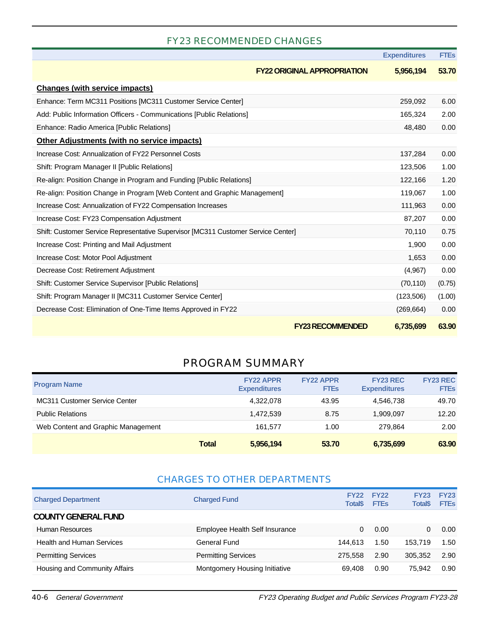## FY23 RECOMMENDED CHANGES

|                                                                                   | <b>Expenditures</b> | <b>FTES</b> |
|-----------------------------------------------------------------------------------|---------------------|-------------|
| <b>FY22 ORIGINAL APPROPRIATION</b>                                                | 5,956,194           | 53.70       |
| <b>Changes (with service impacts)</b>                                             |                     |             |
| Enhance: Term MC311 Positions [MC311 Customer Service Center]                     | 259,092             | 6.00        |
| Add: Public Information Officers - Communications [Public Relations]              | 165,324             | 2.00        |
| Enhance: Radio America [Public Relations]                                         | 48,480              | 0.00        |
| <b>Other Adjustments (with no service impacts)</b>                                |                     |             |
| Increase Cost: Annualization of FY22 Personnel Costs                              | 137,284             | 0.00        |
| Shift: Program Manager II [Public Relations]                                      | 123,506             | 1.00        |
| Re-align: Position Change in Program and Funding [Public Relations]               | 122,166             | 1.20        |
| Re-align: Position Change in Program [Web Content and Graphic Management]         | 119,067             | 1.00        |
| Increase Cost: Annualization of FY22 Compensation Increases                       | 111,963             | 0.00        |
| Increase Cost: FY23 Compensation Adjustment                                       | 87,207              | 0.00        |
| Shift: Customer Service Representative Supervisor [MC311 Customer Service Center] | 70,110              | 0.75        |
| Increase Cost: Printing and Mail Adjustment                                       | 1,900               | 0.00        |
| Increase Cost: Motor Pool Adjustment                                              | 1,653               | 0.00        |
| Decrease Cost: Retirement Adjustment                                              | (4,967)             | 0.00        |
| Shift: Customer Service Supervisor [Public Relations]                             | (70, 110)           | (0.75)      |
| Shift: Program Manager II [MC311 Customer Service Center]                         | (123,506)           | (1.00)      |
| Decrease Cost: Elimination of One-Time Items Approved in FY22                     | (269, 664)          | 0.00        |
| <b>FY23 RECOMMENDED</b>                                                           | 6,735,699           | 63.90       |

## PROGRAM SUMMARY

| <b>Program Name</b>                  |              | <b>FY22 APPR</b><br><b>Expenditures</b> | <b>FY22 APPR</b><br><b>FTEs</b> | <b>FY23 REC</b><br><b>Expenditures</b> | <b>FY23 REC</b><br><b>FTEs</b> |
|--------------------------------------|--------------|-----------------------------------------|---------------------------------|----------------------------------------|--------------------------------|
| <b>MC311 Customer Service Center</b> |              | 4.322.078                               | 43.95                           | 4,546,738                              | 49.70                          |
| <b>Public Relations</b>              |              | 1.472.539                               | 8.75                            | 1.909.097                              | 12.20                          |
| Web Content and Graphic Management   |              | 161.577                                 | 1.00                            | 279.864                                | 2.00                           |
|                                      | <b>Total</b> | 5,956,194                               | 53.70                           | 6,735,699                              | 63.90                          |

#### CHARGES TO OTHER DEPARTMENTS

| <b>Charged Department</b>        | <b>Charged Fund</b>            | <b>Total\$</b> | <b>FY22 FY22</b><br><b>FTEs</b> | <b>FY23</b><br><b>Total\$</b> | <b>FY23</b><br><b>FTEs</b> |
|----------------------------------|--------------------------------|----------------|---------------------------------|-------------------------------|----------------------------|
| <b>COUNTY GENERAL FUND</b>       |                                |                |                                 |                               |                            |
| Human Resources                  | Employee Health Self Insurance | $\Omega$       | 0.00                            | 0                             | 0.00                       |
| <b>Health and Human Services</b> | General Fund                   | 144.613        | 1.50                            | 153.719                       | 1.50                       |
| <b>Permitting Services</b>       | <b>Permitting Services</b>     | 275.558        | 2.90                            | 305.352                       | 2.90                       |
| Housing and Community Affairs    | Montgomery Housing Initiative  | 69.408         | 0.90                            | 75.942                        | 0.90                       |

40-6 General Government FY23 Operating Budget and Public Services Program FY23-28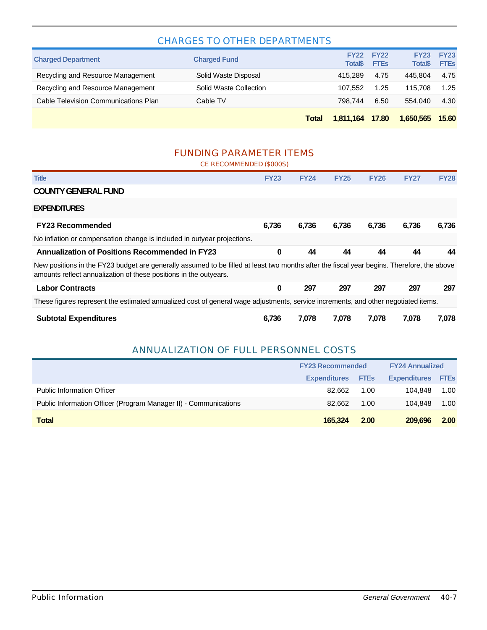#### CHARGES TO OTHER DEPARTMENTS

|                                      |                        | Total | 1,811,164                      | 17.80                      | 1,650,565                     | 15.60                      |
|--------------------------------------|------------------------|-------|--------------------------------|----------------------------|-------------------------------|----------------------------|
| Cable Television Communications Plan | Cable TV               |       | 798.744                        | 6.50                       | 554.040                       | 4.30                       |
| Recycling and Resource Management    | Solid Waste Collection |       | 107.552                        | 1.25                       | 115.708                       | 1.25                       |
| Recycling and Resource Management    | Solid Waste Disposal   |       | 415.289                        | 4.75                       | 445.804                       | 4.75                       |
| <b>Charged Department</b>            | <b>Charged Fund</b>    |       | <b>FY22</b><br><b>Total</b> \$ | <b>FY22</b><br><b>FTEs</b> | <b>FY23</b><br><b>Total\$</b> | <b>FY23</b><br><b>FTEs</b> |

### FUNDING PARAMETER ITEMS

CE RECOMMENDED (\$000S) **Title FY23 FY24 FY25 FY26 FY27 FY28 COUNTY GENERAL FUND EXPENDITURES FY23 Recommended 6,736 6,736 6,736 6,736 6,736 6,736** No inflation or compensation change is included in outyear projections. **Annualization of Positions Recommended in FY23 0 44 44 44 44 44** New positions in the FY23 budget are generally assumed to be filled at least two months after the fiscal year begins. Therefore, the above amounts reflect annualization of these positions in the outyears. **Labor Contracts 0 297 297 297 297 297** These figures represent the estimated annualized cost of general wage adjustments, service increments, and other negotiated items. **Subtotal Expenditures 6,736 7,078 7,078 7,078 7,078 7,078**

#### ANNUALIZATION OF FULL PERSONNEL COSTS

|                                                                  | <b>FY23 Recommended</b> | <b>FY24 Annualized</b> |                     |             |
|------------------------------------------------------------------|-------------------------|------------------------|---------------------|-------------|
|                                                                  | <b>Expenditures</b>     | <b>FTEs</b>            | <b>Expenditures</b> | <b>FTES</b> |
| <b>Public Information Officer</b>                                | 82.662                  | 1.00                   | 104.848             | 1.00        |
| Public Information Officer (Program Manager II) - Communications | 82.662                  | 1.00                   | 104.848             | 1.00        |
| Total                                                            | 165,324                 | 2.00                   | 209,696             | 2.00        |